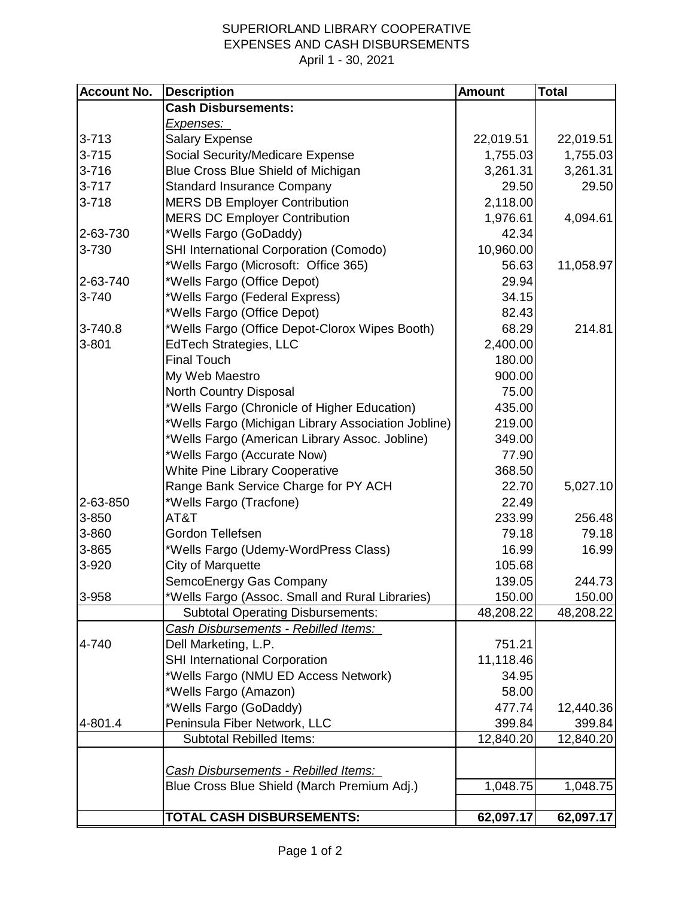## SUPERIORLAND LIBRARY COOPERATIVE EXPENSES AND CASH DISBURSEMENTS April 1 - 30, 2021

| <b>Account No.</b> | <b>Description</b>                                  | <b>Amount</b> | <b>Total</b> |
|--------------------|-----------------------------------------------------|---------------|--------------|
|                    | <b>Cash Disbursements:</b>                          |               |              |
|                    | <u>Expenses: </u>                                   |               |              |
| $3 - 713$          | <b>Salary Expense</b>                               | 22,019.51     | 22,019.51    |
| $3 - 715$          | Social Security/Medicare Expense                    | 1,755.03      | 1,755.03     |
| $3 - 716$          | Blue Cross Blue Shield of Michigan                  | 3,261.31      | 3,261.31     |
| $3 - 717$          | <b>Standard Insurance Company</b>                   | 29.50         | 29.50        |
| $3 - 718$          | <b>MERS DB Employer Contribution</b>                | 2,118.00      |              |
|                    | <b>MERS DC Employer Contribution</b>                | 1,976.61      | 4,094.61     |
| 2-63-730           | *Wells Fargo (GoDaddy)                              | 42.34         |              |
| 3-730              | SHI International Corporation (Comodo)              | 10,960.00     |              |
|                    | *Wells Fargo (Microsoft: Office 365)                | 56.63         | 11,058.97    |
| 2-63-740           | *Wells Fargo (Office Depot)                         | 29.94         |              |
| 3-740              | *Wells Fargo (Federal Express)                      | 34.15         |              |
|                    | *Wells Fargo (Office Depot)                         | 82.43         |              |
| 3-740.8            | *Wells Fargo (Office Depot-Clorox Wipes Booth)      | 68.29         | 214.81       |
| $3 - 801$          | <b>EdTech Strategies, LLC</b>                       | 2,400.00      |              |
|                    | <b>Final Touch</b>                                  | 180.00        |              |
|                    | My Web Maestro                                      | 900.00        |              |
|                    | North Country Disposal                              | 75.00         |              |
|                    | *Wells Fargo (Chronicle of Higher Education)        | 435.00        |              |
|                    | *Wells Fargo (Michigan Library Association Jobline) | 219.00        |              |
|                    | *Wells Fargo (American Library Assoc. Jobline)      | 349.00        |              |
|                    | *Wells Fargo (Accurate Now)                         | 77.90         |              |
|                    | <b>White Pine Library Cooperative</b>               | 368.50        |              |
|                    | Range Bank Service Charge for PY ACH                | 22.70         | 5,027.10     |
| 2-63-850           | *Wells Fargo (Tracfone)                             | 22.49         |              |
| 3-850              | AT&T                                                | 233.99        | 256.48       |
| 3-860              | Gordon Tellefsen                                    | 79.18         | 79.18        |
| 3-865              | *Wells Fargo (Udemy-WordPress Class)                | 16.99         | 16.99        |
| 3-920              | City of Marquette                                   | 105.68        |              |
|                    | SemcoEnergy Gas Company                             | 139.05        | 244.73       |
| 3-958              | *Wells Fargo (Assoc. Small and Rural Libraries)     | 150.00        | 150.00       |
|                    | <b>Subtotal Operating Disbursements:</b>            | 48,208.22     | 48,208.22    |
|                    | Cash Disbursements - Rebilled Items:                |               |              |
| 4-740              | Dell Marketing, L.P.                                | 751.21        |              |
|                    | <b>SHI International Corporation</b>                | 11,118.46     |              |
|                    | *Wells Fargo (NMU ED Access Network)                | 34.95         |              |
|                    | *Wells Fargo (Amazon)                               | 58.00         |              |
|                    | *Wells Fargo (GoDaddy)                              | 477.74        | 12,440.36    |
| 4-801.4            | Peninsula Fiber Network, LLC                        | 399.84        | 399.84       |
|                    | <b>Subtotal Rebilled Items:</b>                     | 12,840.20     | 12,840.20    |
|                    |                                                     |               |              |
|                    | Cash Disbursements - Rebilled Items:                |               |              |
|                    | Blue Cross Blue Shield (March Premium Adj.)         | 1,048.75      | 1,048.75     |
|                    | TOTAL CASH DISBURSEMENTS:                           | 62,097.17     | 62,097.17    |